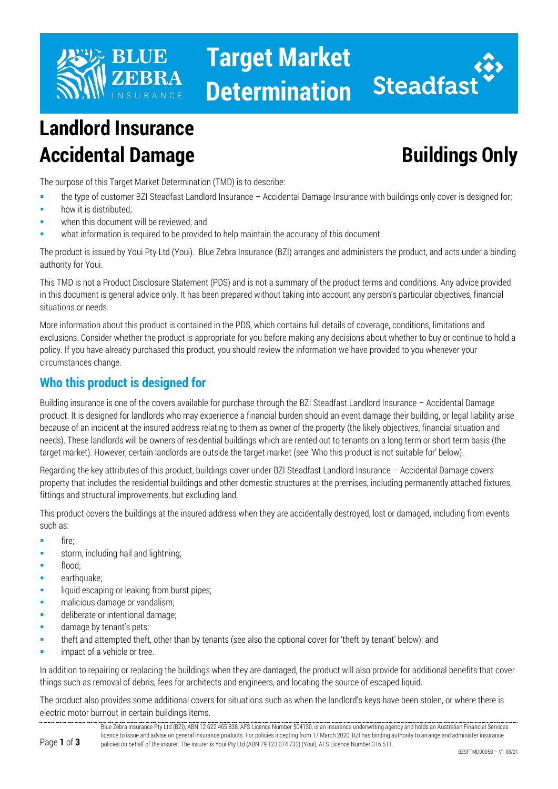

# **Target Market Determination**



## **Landlord Insurance Accidental Damage Buildings Only**

The purpose of this Target Market Determination (TMD) is to describe:

- the type of customer BZI Steadfast Landlord Insurance Accidental Damage Insurance with buildings only cover is designed for;
- how it is distributed;
- when this document will be reviewed; and
- what information is required to be provided to help maintain the accuracy of this document.

The product is issued by Youi Pty Ltd (Youi). Blue Zebra Insurance (BZI) arranges and administers the product, and acts under a binding authority for Youi.

This TMD is not a Product Disclosure Statement (PDS) and is not a summary of the product terms and conditions. Any advice provided in this document is general advice only. It has been prepared without taking into account any person's particular objectives, financial situations or needs.

More information about this product is contained in the PDS, which contains full details of coverage, conditions, limitations and exclusions. Consider whether the product is appropriate for you before making any decisions about whether to buy or continue to hold a policy. If you have already purchased this product, you should review the information we have provided to you whenever your circumstances change.

### **Who this product is designed for**

Building insurance is one of the covers available for purchase through the BZI Steadfast Landlord Insurance – Accidental Damage product. It is designed for landlords who may experience a financial burden should an event damage their building, or legal liability arise because of an incident at the insured address relating to them as owner of the property (the likely objectives, financial situation and needs). These landlords will be owners of residential buildings which are rented out to tenants on a long term or short term basis (the target market). However, certain landlords are outside the target market (see 'Who this product is not suitable for' below).

Regarding the key attributes of this product, buildings cover under BZI Steadfast Landlord Insurance – Accidental Damage covers property that includes the residential buildings and other domestic structures at the premises, including permanently attached fixtures, fittings and structural improvements, but excluding land.

This product covers the buildings at the insured address when they are accidentally destroyed, lost or damaged, including from events such as:

- $\blacksquare$  fire:
- storm, including hail and lightning;
- flood;
- earthquake;
- liquid escaping or leaking from burst pipes;
- malicious damage or vandalism;
- **deliberate or intentional damage;**
- damage by tenant's pets;
- theft and attempted theft, other than by tenants (see also the optional cover for 'theft by tenant' below); and
- impact of a vehicle or tree.

In addition to repairing or replacing the buildings when they are damaged, the product will also provide for additional benefits that cover things such as removal of debris, fees for architects and engineers, and locating the source of escaped liquid.

The product also provides some additional covers for situations such as when the landlord's keys have been stolen, or where there is electric motor burnout in certain buildings items.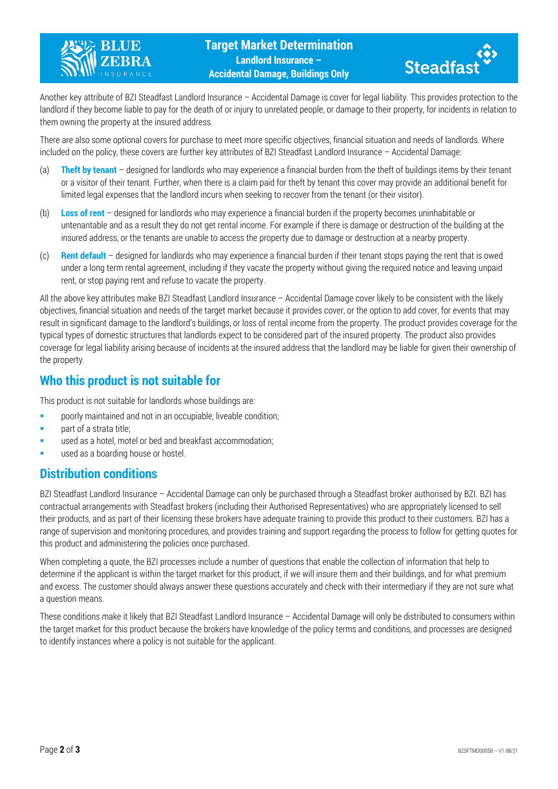



Another key attribute of BZI Steadfast Landlord Insurance – Accidental Damage is cover for legal liability. This provides protection to the landlord if they become liable to pay for the death of or injury to unrelated people, or damage to their property, for incidents in relation to them owning the property at the insured address.

There are also some optional covers for purchase to meet more specific objectives, financial situation and needs of landlords. Where included on the policy, these covers are further key attributes of BZI Steadfast Landlord Insurance – Accidental Damage:

- (a) **Theft by tenant** designed for landlords who may experience a financial burden from the theft of buildings items by their tenant or a visitor of their tenant. Further, when there is a claim paid for theft by tenant this cover may provide an additional benefit for limited legal expenses that the landlord incurs when seeking to recover from the tenant (or their visitor).
- (b) **Loss of rent** designed for landlords who may experience a financial burden if the property becomes uninhabitable or untenantable and as a result they do not get rental income. For example if there is damage or destruction of the building at the insured address, or the tenants are unable to access the property due to damage or destruction at a nearby property.
- (c) **Rent default** designed for landlords who may experience a financial burden if their tenant stops paying the rent that is owed under a long term rental agreement, including if they vacate the property without giving the required notice and leaving unpaid rent, or stop paying rent and refuse to vacate the property.

All the above key attributes make BZI Steadfast Landlord Insurance – Accidental Damage cover likely to be consistent with the likely objectives, financial situation and needs of the target market because it provides cover, or the option to add cover, for events that may result in significant damage to the landlord's buildings, or loss of rental income from the property. The product provides coverage for the typical types of domestic structures that landlords expect to be considered part of the insured property. The product also provides coverage for legal liability arising because of incidents at the insured address that the landlord may be liable for given their ownership of the property.

#### **Who this product is not suitable for**

This product is not suitable for landlords whose buildings are:

- **Phonorly maintained and not in an occupiable, liveable condition;**
- part of a strata title;
- used as a hotel, motel or bed and breakfast accommodation;
- used as a boarding house or hostel.

#### **Distribution conditions**

BZI Steadfast Landlord Insurance – Accidental Damage can only be purchased through a Steadfast broker authorised by BZI. BZI has contractual arrangements with Steadfast brokers (including their Authorised Representatives) who are appropriately licensed to sell their products, and as part of their licensing these brokers have adequate training to provide this product to their customers. BZI has a range of supervision and monitoring procedures, and provides training and support regarding the process to follow for getting quotes for this product and administering the policies once purchased.

When completing a quote, the BZI processes include a number of questions that enable the collection of information that help to determine if the applicant is within the target market for this product, if we will insure them and their buildings, and for what premium and excess. The customer should always answer these questions accurately and check with their intermediary if they are not sure what a question means.

These conditions make it likely that BZI Steadfast Landlord Insurance – Accidental Damage will only be distributed to consumers within the target market for this product because the brokers have knowledge of the policy terms and conditions, and processes are designed to identify instances where a policy is not suitable for the applicant.